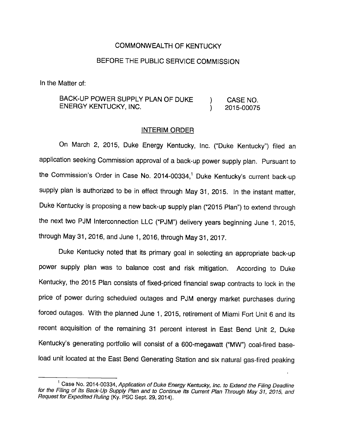## COMMONWEALTH OF KENTUCKY

## BEFORE THE PUBLIC SERVICE COMMISSION

In the Matter of:

## BACK-UP POWER SUPPLY PLAN OF DUKE ) CASE NO. ENERGY KENTUCKY, INC. (2015-00075)

## INTERIM ORDER

On March 2, 2015, Duke Energy Kentucky, Inc. ("Duke Kentucky") filed an application seeking Commission approval of a back-up power supply plan. Pursuant to the Commission's Order in Case No. 2014-00334,<sup>1</sup> Duke Kentucky's current back-up supply plan is authorized to be in effect through May 31, 2015. In the instant matter. Duke Kentucky is proposing a new back-up supply plan ("2015 Plan") to extend through the next two PJM Interconnection LLC ("PJM") delivery years beginning June 1, 2015, through May 31, 2016, and June 1, 2016, through May 31, 2017.

Duke Kentucky noted that its primary goal in selecting an appropriate back-up power supply plan was to balance cost and risk mitigation. According to Duke Kentucky, the 2015 Plan consists of fixed-priced financial swap contracts to lock in the price of power during scheduled outages and PJM energy market purchases during forced outages. With the planned June 1, 2015, retirement of Miami Fort Unit 6 and its recent acquisition of the remaining 31 percent interest in East Bend Unit 2, Duke Kentucky's generating portfolio will consist of a 600-megawatt ("MW") coal-fired baseload unit located at the East Bend Generating Station and six natural gas-fired peaking

 $1$  Case No. 2014-00334, Application of Duke Energy Kentucky, Inc. to Extend the Filing Deadline for the Filing of Its Back-Up Supply Plan and to Continue Its Current Plan Through May 31, 2015, and Request for Expedited Ruling (Ky. PSC Sept. 29, 2014).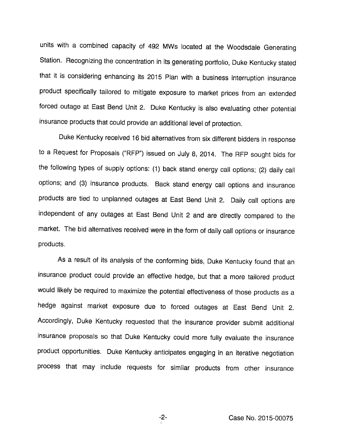units with a combined capacity of 492 MWs located at the Woodsdale Generating Station. Recognizing the concentration in its generating portfolio, Duke Kentucky stated that it is considering enhancing its 2015 Plan with a business interruption insurance product specifically tailored to mitigate exposure to market prices from an extended forced outage at East Bend Unit 2. Duke Kentucky is also evaluating other potential insurance products that could provide an additional level of protection.

Duke Kentucky received 16 bid alternatives from six different bidders in response to a Request for Proposals ("RFP") issued on July 8, 2014. The RFP sought bids for the following types of supply options: (1) back stand energy call options; (2) daily call options; and (3) insurance products. Back stand energy call options and insurance products are tied to unplanned outages at East Bend Unit 2. Daily call options are independent of any outages at East Bend Unit 2 and are directly compared to the market. The bid alternatives received were in the form of daily call options or insurance products.

As a result of its analysis of the conforming bids, Duke Kentucky found that an insurance product could provide an effective hedge, but that a more tailored product would likely be required to maximize the potential effectiveness of those products as a hedge against market exposure due to forced outages at East Bend Unit 2. Accordingly, Duke Kentucky requested that the insurance provider submit additional insurance proposals so that Duke Kentucky could more fully evaluate the insurance product opportunities. Duke Kentucky anticipates engaging in an iterative negotiation process that may include requests for similar products from other insurance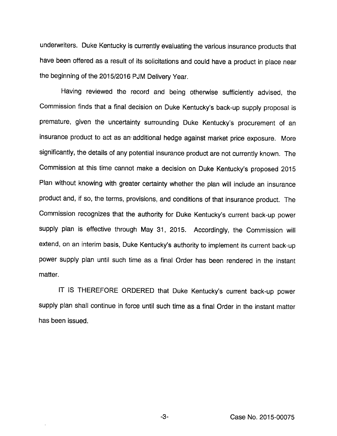underwriters. Duke Kentucky is currently evaluating the various insurance products that have been offered as a result of its solicitations and could have a product in place near the beginning of the 2015/2016 PJM Delivery Year.

Having reviewed the record and being otherwise sufficiently advised, the Commission finds that a final decision on Duke Kentucky's back-up supply proposal is premature, given the uncertainty surrounding Duke Kentucky's procurement of an insurance product to act as an'additional hedge against market price exposure. More significantly, the details of any potential insurance product are not currently known. The Commission at this time cannot make a decision on Duke Kentucky's proposed 2015 Plan without knowing with greater certainty whether the plan will include an insurance product and, if so, the terms, provisions, and conditions of that insurance product. The Commission recognizes that the authority for Duke Kentucky's current back-up power supply plan is effective through May 31, 2015. Accordingly, the Commission will extend, on an interim basis. Duke Kentucky's authority to implement its current back-up power supply plan until such time as a final Order has been rendered in the instant matter.

IT IS THEREFORE ORDERED that Duke Kentucky's current back-up power supply plan shall continue in force until such time as a final Order in the instant matter has been issued.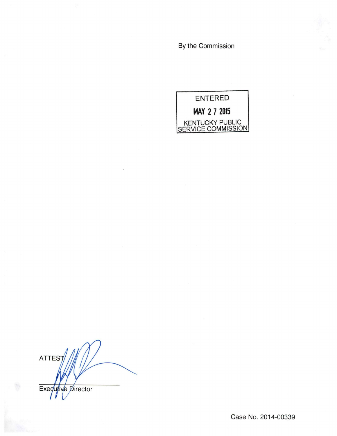By the Commission



**ATTES** Executive Director

Case No. 2014-00339